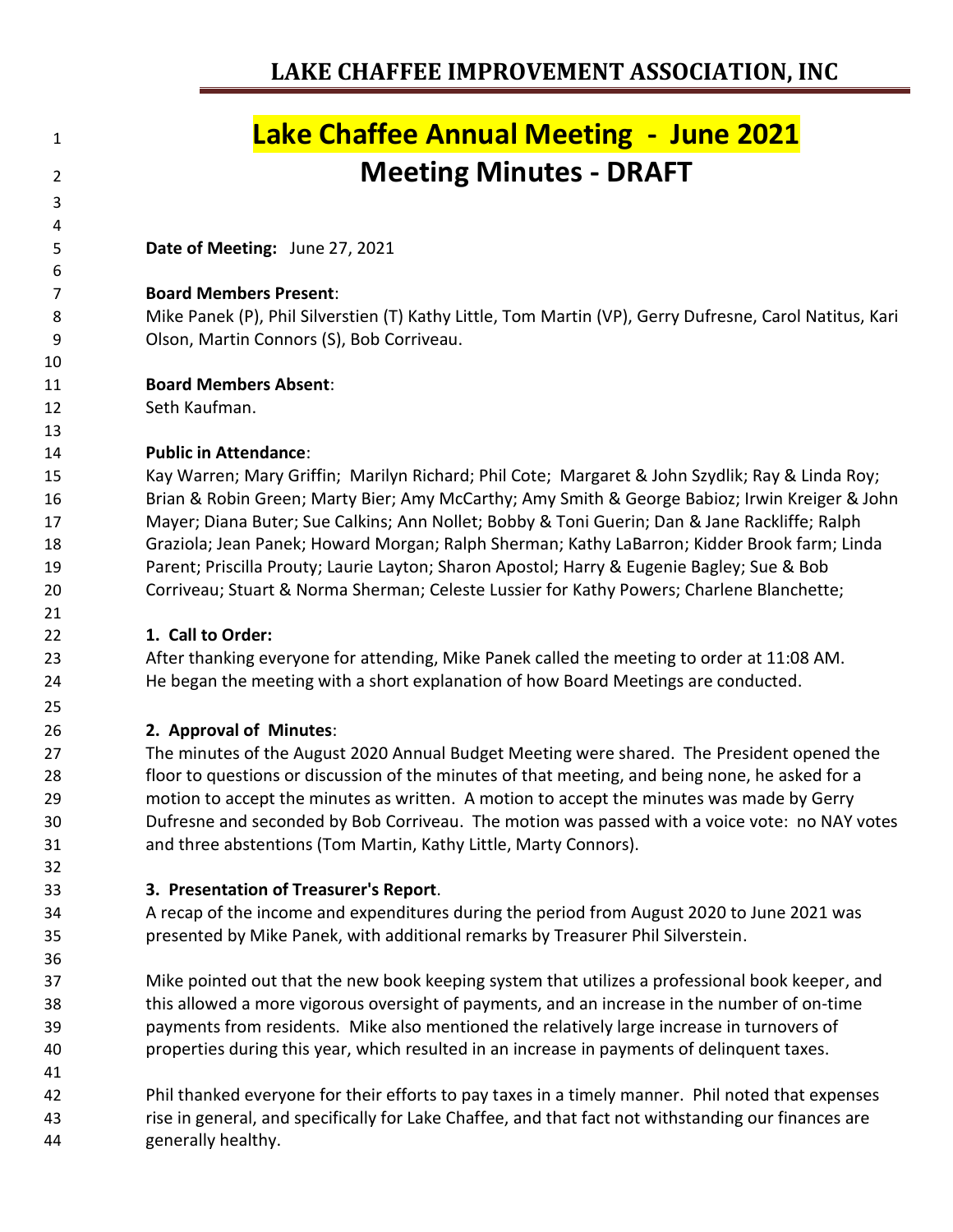## **Lake Chaffee Annual Meeting - June 2021 Meeting Minutes - DRAFT**

**Date of Meeting:** June 27, 2021

#### **Board Members Present**:

 Mike Panek (P), Phil Silverstien (T) Kathy Little, Tom Martin (VP), Gerry Dufresne, Carol Natitus, Kari Olson, Martin Connors (S), Bob Corriveau.

### **Board Members Absent**:

Seth Kaufman.

 

### **Public in Attendance**:

 Kay Warren; Mary Griffin; Marilyn Richard; Phil Cote; Margaret & John Szydlik; Ray & Linda Roy; Brian & Robin Green; Marty Bier; Amy McCarthy; Amy Smith & George Babioz; Irwin Kreiger & John Mayer; Diana Buter; Sue Calkins; Ann Nollet; Bobby & Toni Guerin; Dan & Jane Rackliffe; Ralph Graziola; Jean Panek; Howard Morgan; Ralph Sherman; Kathy LaBarron; Kidder Brook farm; Linda Parent; Priscilla Prouty; Laurie Layton; Sharon Apostol; Harry & Eugenie Bagley; Sue & Bob Corriveau; Stuart & Norma Sherman; Celeste Lussier for Kathy Powers; Charlene Blanchette;

#### **1. Call to Order:**

 After thanking everyone for attending, Mike Panek called the meeting to order at 11:08 AM. He began the meeting with a short explanation of how Board Meetings are conducted.

## **2. Approval of Minutes**:

 The minutes of the August 2020 Annual Budget Meeting were shared. The President opened the floor to questions or discussion of the minutes of that meeting, and being none, he asked for a motion to accept the minutes as written. A motion to accept the minutes was made by Gerry Dufresne and seconded by Bob Corriveau. The motion was passed with a voice vote: no NAY votes and three abstentions (Tom Martin, Kathy Little, Marty Connors).

## **3. Presentation of Treasurer's Report**.

 A recap of the income and expenditures during the period from August 2020 to June 2021 was presented by Mike Panek, with additional remarks by Treasurer Phil Silverstein.

 Mike pointed out that the new book keeping system that utilizes a professional book keeper, and this allowed a more vigorous oversight of payments, and an increase in the number of on-time payments from residents. Mike also mentioned the relatively large increase in turnovers of properties during this year, which resulted in an increase in payments of delinquent taxes.

 Phil thanked everyone for their efforts to pay taxes in a timely manner. Phil noted that expenses rise in general, and specifically for Lake Chaffee, and that fact not withstanding our finances are generally healthy.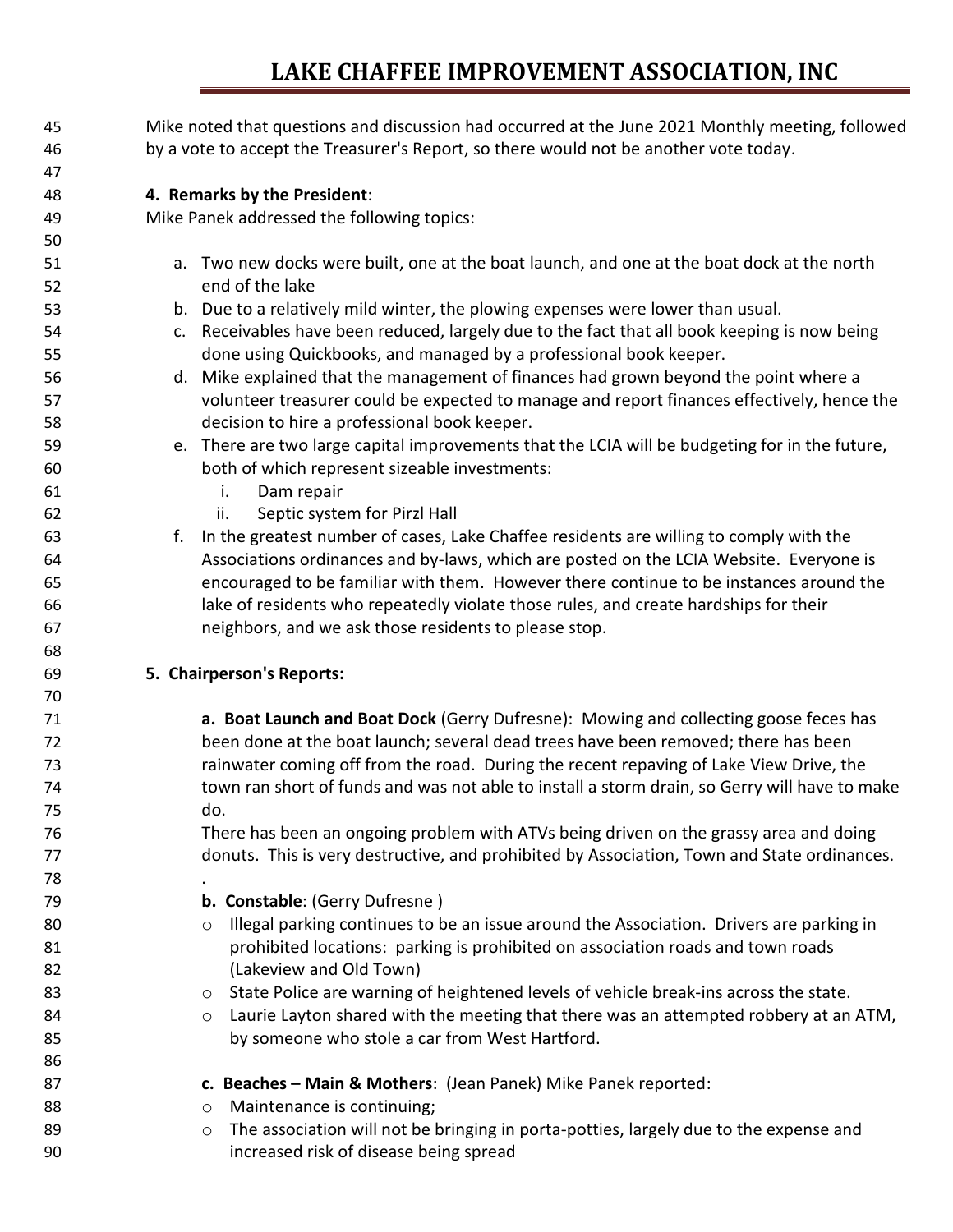| 45 | Mike noted that questions and discussion had occurred at the June 2021 Monthly meeting, followed      |
|----|-------------------------------------------------------------------------------------------------------|
| 46 | by a vote to accept the Treasurer's Report, so there would not be another vote today.                 |
| 47 |                                                                                                       |
| 48 | 4. Remarks by the President:                                                                          |
| 49 | Mike Panek addressed the following topics:                                                            |
| 50 |                                                                                                       |
| 51 | a. Two new docks were built, one at the boat launch, and one at the boat dock at the north            |
| 52 | end of the lake                                                                                       |
| 53 | b. Due to a relatively mild winter, the plowing expenses were lower than usual.                       |
| 54 | c. Receivables have been reduced, largely due to the fact that all book keeping is now being          |
| 55 | done using Quickbooks, and managed by a professional book keeper.                                     |
| 56 | d. Mike explained that the management of finances had grown beyond the point where a                  |
| 57 | volunteer treasurer could be expected to manage and report finances effectively, hence the            |
| 58 | decision to hire a professional book keeper.                                                          |
| 59 | e. There are two large capital improvements that the LCIA will be budgeting for in the future,        |
| 60 | both of which represent sizeable investments:                                                         |
| 61 | Dam repair<br>i.                                                                                      |
| 62 | Septic system for Pirzl Hall<br>ii.                                                                   |
| 63 | In the greatest number of cases, Lake Chaffee residents are willing to comply with the<br>f.          |
| 64 | Associations ordinances and by-laws, which are posted on the LCIA Website. Everyone is                |
| 65 | encouraged to be familiar with them. However there continue to be instances around the                |
| 66 | lake of residents who repeatedly violate those rules, and create hardships for their                  |
| 67 | neighbors, and we ask those residents to please stop.                                                 |
| 68 |                                                                                                       |
| 69 | 5. Chairperson's Reports:                                                                             |
| 70 |                                                                                                       |
| 71 | a. Boat Launch and Boat Dock (Gerry Dufresne): Mowing and collecting goose feces has                  |
| 72 | been done at the boat launch; several dead trees have been removed; there has been                    |
| 73 | rainwater coming off from the road. During the recent repaving of Lake View Drive, the                |
| 74 | town ran short of funds and was not able to install a storm drain, so Gerry will have to make         |
| 75 | do.                                                                                                   |
| 76 | There has been an ongoing problem with ATVs being driven on the grassy area and doing                 |
| 77 | donuts. This is very destructive, and prohibited by Association, Town and State ordinances.           |
| 78 |                                                                                                       |
| 79 | b. Constable: (Gerry Dufresne)                                                                        |
| 80 | Illegal parking continues to be an issue around the Association. Drivers are parking in<br>$\circ$    |
| 81 | prohibited locations: parking is prohibited on association roads and town roads                       |
| 82 | (Lakeview and Old Town)                                                                               |
| 83 | State Police are warning of heightened levels of vehicle break-ins across the state.<br>$\circ$       |
| 84 | Laurie Layton shared with the meeting that there was an attempted robbery at an ATM,<br>$\circ$       |
| 85 | by someone who stole a car from West Hartford.                                                        |
| 86 |                                                                                                       |
| 87 | c. Beaches - Main & Mothers: (Jean Panek) Mike Panek reported:                                        |
| 88 | Maintenance is continuing;                                                                            |
| 89 | O<br>The association will not be bringing in porta-potties, largely due to the expense and<br>$\circ$ |
| 90 | increased risk of disease being spread                                                                |
|    |                                                                                                       |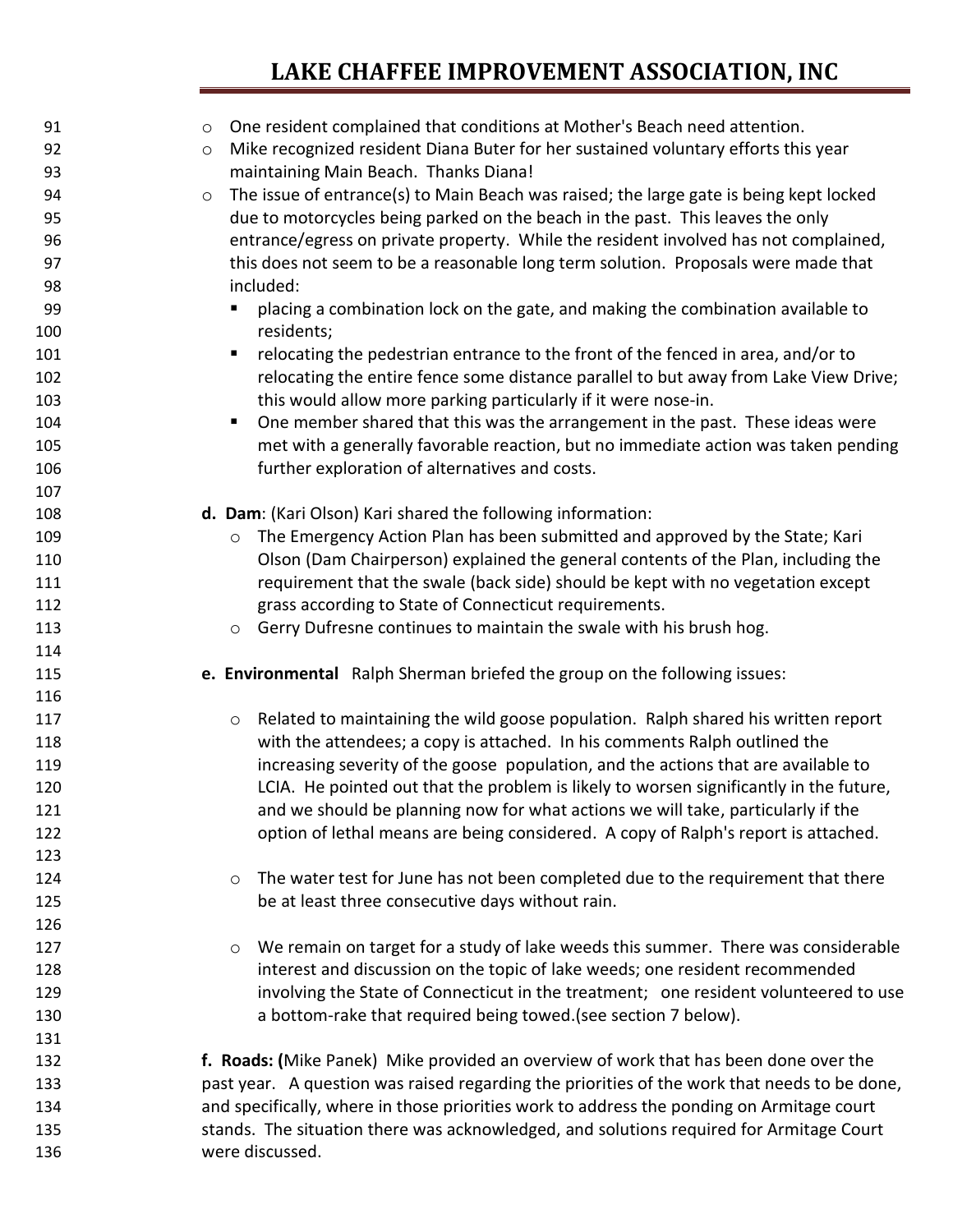| 91  | One resident complained that conditions at Mother's Beach need attention.<br>$\circ$              |
|-----|---------------------------------------------------------------------------------------------------|
| 92  | Mike recognized resident Diana Buter for her sustained voluntary efforts this year<br>$\circ$     |
| 93  | maintaining Main Beach. Thanks Diana!                                                             |
| 94  | The issue of entrance(s) to Main Beach was raised; the large gate is being kept locked<br>$\circ$ |
| 95  | due to motorcycles being parked on the beach in the past. This leaves the only                    |
| 96  | entrance/egress on private property. While the resident involved has not complained,              |
| 97  | this does not seem to be a reasonable long term solution. Proposals were made that                |
| 98  | included:                                                                                         |
| 99  | placing a combination lock on the gate, and making the combination available to                   |
| 100 | residents;                                                                                        |
| 101 | relocating the pedestrian entrance to the front of the fenced in area, and/or to<br>п             |
| 102 | relocating the entire fence some distance parallel to but away from Lake View Drive;              |
| 103 | this would allow more parking particularly if it were nose-in.                                    |
| 104 | One member shared that this was the arrangement in the past. These ideas were<br>п                |
| 105 | met with a generally favorable reaction, but no immediate action was taken pending                |
| 106 | further exploration of alternatives and costs.                                                    |
| 107 |                                                                                                   |
| 108 | d. Dam: (Kari Olson) Kari shared the following information:                                       |
| 109 | The Emergency Action Plan has been submitted and approved by the State; Kari<br>$\circ$           |
| 110 | Olson (Dam Chairperson) explained the general contents of the Plan, including the                 |
| 111 | requirement that the swale (back side) should be kept with no vegetation except                   |
| 112 | grass according to State of Connecticut requirements.                                             |
| 113 | Gerry Dufresne continues to maintain the swale with his brush hog.                                |
| 114 | $\circ$                                                                                           |
| 115 | e. Environmental Ralph Sherman briefed the group on the following issues:                         |
| 116 |                                                                                                   |
| 117 | Related to maintaining the wild goose population. Ralph shared his written report                 |
| 118 | $\circ$<br>with the attendees; a copy is attached. In his comments Ralph outlined the             |
| 119 | increasing severity of the goose population, and the actions that are available to                |
| 120 | LCIA. He pointed out that the problem is likely to worsen significantly in the future,            |
| 121 | and we should be planning now for what actions we will take, particularly if the                  |
| 122 | option of lethal means are being considered. A copy of Ralph's report is attached.                |
| 123 |                                                                                                   |
| 124 | The water test for June has not been completed due to the requirement that there                  |
| 125 | $\circ$<br>be at least three consecutive days without rain.                                       |
|     |                                                                                                   |
| 126 |                                                                                                   |
| 127 | We remain on target for a study of lake weeds this summer. There was considerable<br>$\circ$      |
| 128 | interest and discussion on the topic of lake weeds; one resident recommended                      |
| 129 | involving the State of Connecticut in the treatment; one resident volunteered to use              |
| 130 | a bottom-rake that required being towed. (see section 7 below).                                   |
| 131 |                                                                                                   |
| 132 | f. Roads: (Mike Panek) Mike provided an overview of work that has been done over the              |
| 133 | past year. A question was raised regarding the priorities of the work that needs to be done,      |
| 134 | and specifically, where in those priorities work to address the ponding on Armitage court         |
| 135 | stands. The situation there was acknowledged, and solutions required for Armitage Court           |
| 136 | were discussed.                                                                                   |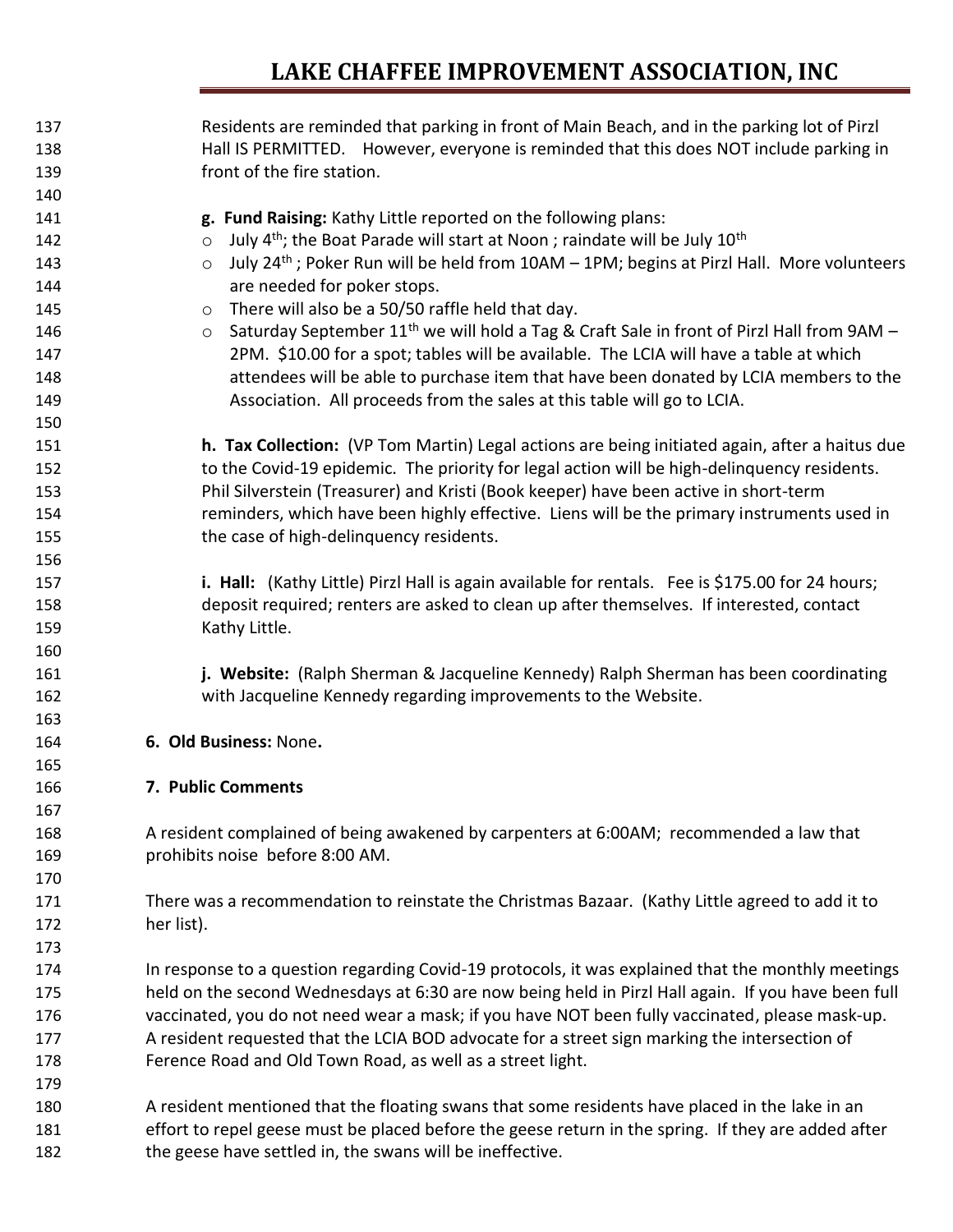| 137 | Residents are reminded that parking in front of Main Beach, and in the parking lot of Pirzl                      |
|-----|------------------------------------------------------------------------------------------------------------------|
| 138 | Hall IS PERMITTED. However, everyone is reminded that this does NOT include parking in                           |
| 139 | front of the fire station.                                                                                       |
| 140 |                                                                                                                  |
| 141 | g. Fund Raising: Kathy Little reported on the following plans:                                                   |
| 142 | July 4 <sup>th</sup> ; the Boat Parade will start at Noon; raindate will be July 10 <sup>th</sup><br>$\circ$     |
| 143 | July 24 <sup>th</sup> ; Poker Run will be held from 10AM - 1PM; begins at Pirzl Hall. More volunteers<br>$\circ$ |
| 144 | are needed for poker stops.                                                                                      |
| 145 | There will also be a 50/50 raffle held that day.<br>$\circ$                                                      |
| 146 | Saturday September 11 <sup>th</sup> we will hold a Tag & Craft Sale in front of Pirzl Hall from 9AM -<br>$\circ$ |
| 147 | 2PM. \$10.00 for a spot; tables will be available. The LCIA will have a table at which                           |
| 148 | attendees will be able to purchase item that have been donated by LCIA members to the                            |
| 149 | Association. All proceeds from the sales at this table will go to LCIA.                                          |
| 150 |                                                                                                                  |
| 151 | h. Tax Collection: (VP Tom Martin) Legal actions are being initiated again, after a haitus due                   |
| 152 | to the Covid-19 epidemic. The priority for legal action will be high-delinquency residents.                      |
| 153 | Phil Silverstein (Treasurer) and Kristi (Book keeper) have been active in short-term                             |
| 154 | reminders, which have been highly effective. Liens will be the primary instruments used in                       |
| 155 | the case of high-delinquency residents.                                                                          |
| 156 |                                                                                                                  |
| 157 | i. Hall: (Kathy Little) Pirzl Hall is again available for rentals. Fee is \$175.00 for 24 hours;                 |
| 158 | deposit required; renters are asked to clean up after themselves. If interested, contact                         |
| 159 | Kathy Little.                                                                                                    |
| 160 |                                                                                                                  |
| 161 | j. Website: (Ralph Sherman & Jacqueline Kennedy) Ralph Sherman has been coordinating                             |
| 162 | with Jacqueline Kennedy regarding improvements to the Website.                                                   |
| 163 |                                                                                                                  |
| 164 | 6. Old Business: None.                                                                                           |
| 165 |                                                                                                                  |
| 166 | 7. Public Comments                                                                                               |
| 167 |                                                                                                                  |
| 168 | A resident complained of being awakened by carpenters at 6:00AM; recommended a law that                          |
| 169 | prohibits noise before 8:00 AM.                                                                                  |
| 170 |                                                                                                                  |
| 171 | There was a recommendation to reinstate the Christmas Bazaar. (Kathy Little agreed to add it to                  |
| 172 | her list).                                                                                                       |
| 173 |                                                                                                                  |
| 174 | In response to a question regarding Covid-19 protocols, it was explained that the monthly meetings               |
| 175 | held on the second Wednesdays at 6:30 are now being held in Pirzl Hall again. If you have been full              |
| 176 | vaccinated, you do not need wear a mask; if you have NOT been fully vaccinated, please mask-up.                  |
| 177 | A resident requested that the LCIA BOD advocate for a street sign marking the intersection of                    |
| 178 | Ference Road and Old Town Road, as well as a street light.                                                       |
| 179 |                                                                                                                  |
| 180 | A resident mentioned that the floating swans that some residents have placed in the lake in an                   |
| 181 | effort to repel geese must be placed before the geese return in the spring. If they are added after              |
|     |                                                                                                                  |
| 182 | the geese have settled in, the swans will be ineffective.                                                        |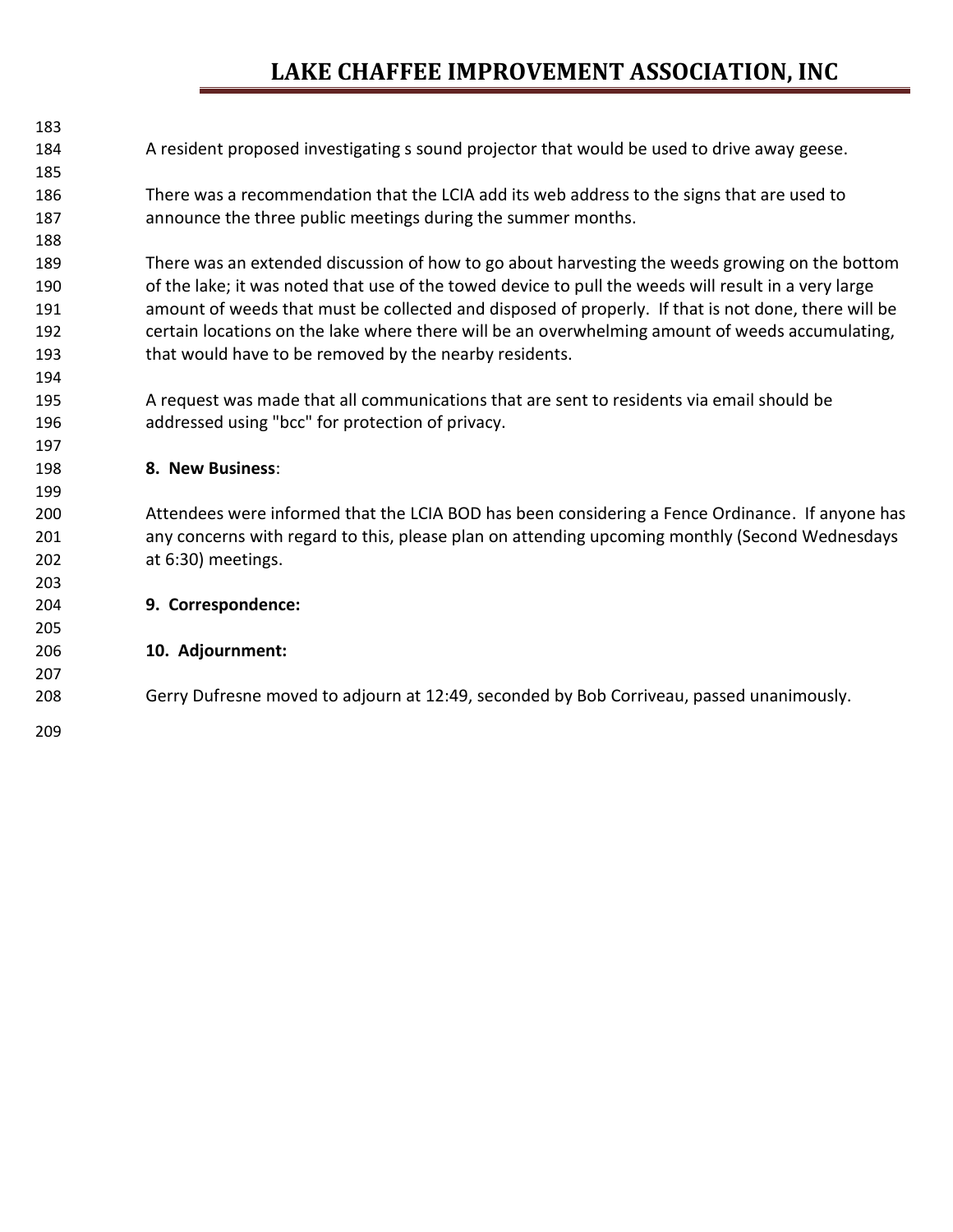| 183 |                                                                                                      |
|-----|------------------------------------------------------------------------------------------------------|
| 184 | A resident proposed investigating s sound projector that would be used to drive away geese.          |
| 185 |                                                                                                      |
| 186 | There was a recommendation that the LCIA add its web address to the signs that are used to           |
| 187 | announce the three public meetings during the summer months.                                         |
| 188 |                                                                                                      |
| 189 | There was an extended discussion of how to go about harvesting the weeds growing on the bottom       |
| 190 | of the lake; it was noted that use of the towed device to pull the weeds will result in a very large |
| 191 | amount of weeds that must be collected and disposed of properly. If that is not done, there will be  |
| 192 | certain locations on the lake where there will be an overwhelming amount of weeds accumulating,      |
| 193 | that would have to be removed by the nearby residents.                                               |
| 194 |                                                                                                      |
| 195 | A request was made that all communications that are sent to residents via email should be            |
| 196 | addressed using "bcc" for protection of privacy.                                                     |
| 197 |                                                                                                      |
| 198 | 8. New Business:                                                                                     |
| 199 |                                                                                                      |
| 200 | Attendees were informed that the LCIA BOD has been considering a Fence Ordinance. If anyone has      |
| 201 | any concerns with regard to this, please plan on attending upcoming monthly (Second Wednesdays       |
| 202 | at 6:30) meetings.                                                                                   |
| 203 |                                                                                                      |
| 204 | 9. Correspondence:                                                                                   |
| 205 |                                                                                                      |
| 206 | 10. Adjournment:                                                                                     |
| 207 |                                                                                                      |
| 208 | Gerry Dufresne moved to adjourn at 12:49, seconded by Bob Corriveau, passed unanimously.             |
| 209 |                                                                                                      |